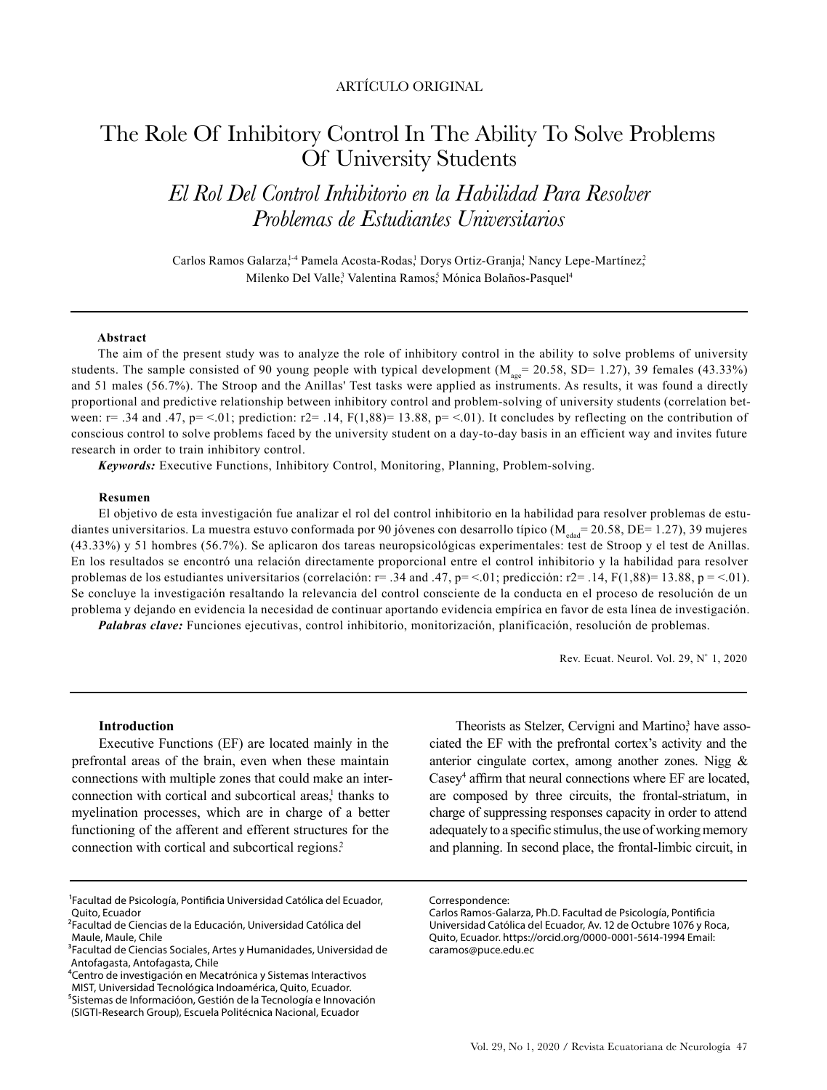# ARTÍCULO ORIGINAL

# The Role Of Inhibitory Control In The Ability To Solve Problems Of University Students

*El Rol Del Control Inhibitorio en la Habilidad Para Resolver Problemas de Estudiantes Universitarios*

Carlos Ramos Galarza,<sup>1,4</sup> Pamela Acosta-Rodas,<sup>1</sup> Dorys Ortiz-Granja,<sup>1</sup> Nancy Lepe-Martínez,<sup>2</sup> Milenko Del Valle<sup>3</sup> Valentina Ramos<sup>5</sup> Mónica Bolaños-Pasquel<sup>4</sup>

#### **Abstract**

The aim of the present study was to analyze the role of inhibitory control in the ability to solve problems of university students. The sample consisted of 90 young people with typical development  $(M_{\text{age}} = 20.58, SD = 1.27)$ , 39 females (43.33%) and 51 males (56.7%). The Stroop and the Anillas' Test tasks were applied as instruments. As results, it was found a directly proportional and predictive relationship between inhibitory control and problem-solving of university students (correlation between:  $r = .34$  and .47,  $p = 0.01$ ; prediction:  $r = .14$ ,  $F(1,88) = 13.88$ ,  $p = 0.01$ . It concludes by reflecting on the contribution of conscious control to solve problems faced by the university student on a day-to-day basis in an efficient way and invites future research in order to train inhibitory control.

*Keywords:* Executive Functions, Inhibitory Control, Monitoring, Planning, Problem-solving.

#### **Resumen**

El objetivo de esta investigación fue analizar el rol del control inhibitorio en la habilidad para resolver problemas de estudiantes universitarios. La muestra estuvo conformada por 90 jóvenes con desarrollo típico ( $M_{\text{edad}}$ = 20.58, DE= 1.27), 39 mujeres (43.33%) y 51 hombres (56.7%). Se aplicaron dos tareas neuropsicológicas experimentales: test de Stroop y el test de Anillas. En los resultados se encontró una relación directamente proporcional entre el control inhibitorio y la habilidad para resolver problemas de los estudiantes universitarios (correlación:  $r = .34$  and .47,  $p = < .01$ ; predicción:  $r = 1.14$ ,  $F(1,88) = 13.88$ ,  $p = < .01$ ). Se concluye la investigación resaltando la relevancia del control consciente de la conducta en el proceso de resolución de un problema y dejando en evidencia la necesidad de continuar aportando evidencia empírica en favor de esta línea de investigación.

*Palabras clave:* Funciones ejecutivas, control inhibitorio, monitorización, planificación, resolución de problemas.

Rev. Ecuat. Neurol. Vol. 29, Nº 1, 2020

### **Introduction**

Executive Functions (EF) are located mainly in the prefrontal areas of the brain, even when these maintain connections with multiple zones that could make an interconnection with cortical and subcortical areas,<sup>1</sup> thanks to myelination processes, which are in charge of a better functioning of the afferent and efferent structures for the connection with cortical and subcortical regions.<sup>2</sup>

Theorists as Stelzer, Cervigni and Martino,<sup>3</sup> have associated the EF with the prefrontal cortex's activity and the anterior cingulate cortex, among another zones. Nigg & Casey<sup>4</sup> affirm that neural connections where EF are located, are composed by three circuits, the frontal-striatum, in charge of suppressing responses capacity in order to attend adequately to a specific stimulus, the use of working memory and planning. In second place, the frontal-limbic circuit, in

<sup>1</sup>Facultad de Psicología, Pontificia Universidad Católica del Ecuador, Quito, Ecuador

<sup>2</sup>Facultad de Ciencias de la Educación, Universidad Católica del Maule, Maule, Chile

<sup>3</sup>Facultad de Ciencias Sociales, Artes y Humanidades, Universidad de Antofagasta, Antofagasta, Chile

⁴Centro de investigación en Mecatrónica y Sistemas Interactivos MIST, Universidad Tecnológica Indoamérica, Quito, Ecuador. ⁵Sistemas de Informacióon, Gestión de la Tecnología e Innovación

<sup>(</sup>SIGTI-Research Group), Escuela Politécnica Nacional, Ecuador

Correspondence:

Carlos Ramos-Galarza, Ph.D. Facultad de Psicología, Pontificia Universidad Católica del Ecuador, Av. 12 de Octubre 1076 y Roca, Quito, Ecuador. https://orcid.org/0000-0001-5614-1994 Email: caramos@puce.edu.ec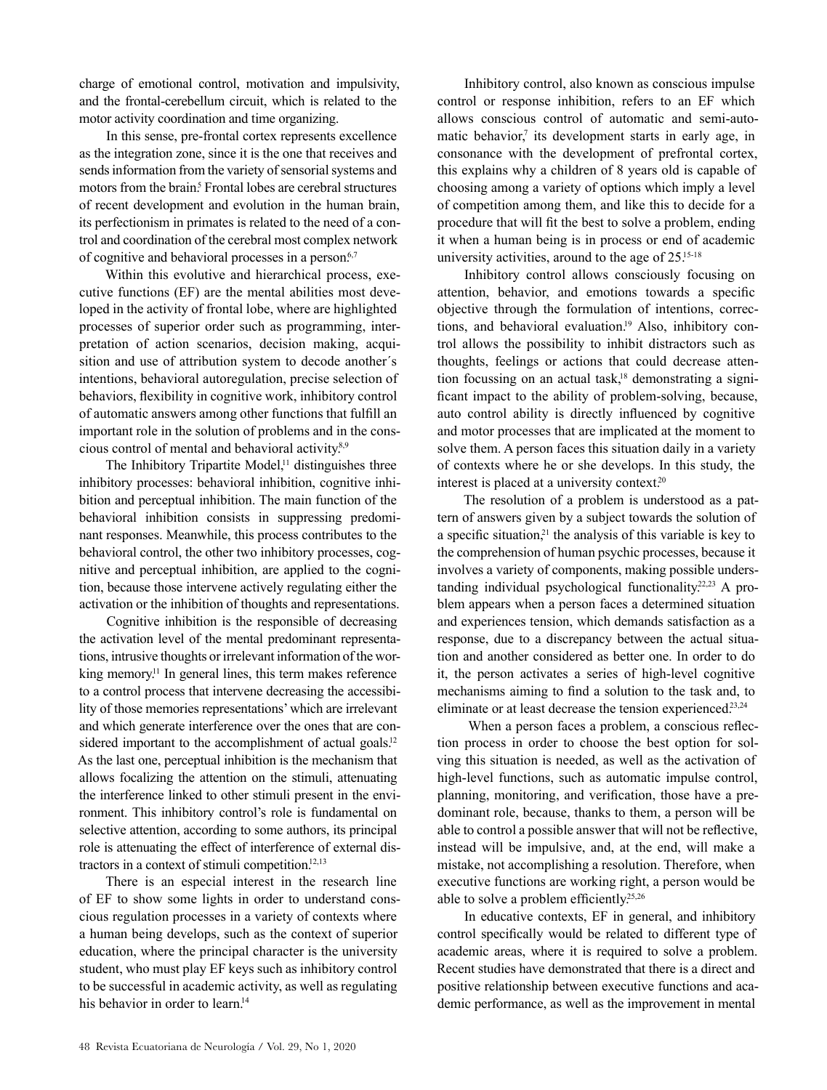charge of emotional control, motivation and impulsivity, and the frontal-cerebellum circuit, which is related to the motor activity coordination and time organizing.

In this sense, pre-frontal cortex represents excellence as the integration zone, since it is the one that receives and sends information from the variety of sensorial systems and motors from the brain.<sup>5</sup> Frontal lobes are cerebral structures of recent development and evolution in the human brain, its perfectionism in primates is related to the need of a control and coordination of the cerebral most complex network of cognitive and behavioral processes in a person.<sup>6,7</sup>

Within this evolutive and hierarchical process, executive functions (EF) are the mental abilities most developed in the activity of frontal lobe, where are highlighted processes of superior order such as programming, interpretation of action scenarios, decision making, acquisition and use of attribution system to decode another´s intentions, behavioral autoregulation, precise selection of behaviors, flexibility in cognitive work, inhibitory control of automatic answers among other functions that fulfill an important role in the solution of problems and in the conscious control of mental and behavioral activity.<sup>8,9</sup>

The Inhibitory Tripartite Model,<sup>11</sup> distinguishes three inhibitory processes: behavioral inhibition, cognitive inhibition and perceptual inhibition. The main function of the behavioral inhibition consists in suppressing predominant responses. Meanwhile, this process contributes to the behavioral control, the other two inhibitory processes, cognitive and perceptual inhibition, are applied to the cognition, because those intervene actively regulating either the activation or the inhibition of thoughts and representations.

Cognitive inhibition is the responsible of decreasing the activation level of the mental predominant representations, intrusive thoughts or irrelevant information of the working memory.<sup>11</sup> In general lines, this term makes reference to a control process that intervene decreasing the accessibility of those memories representations' which are irrelevant and which generate interference over the ones that are considered important to the accomplishment of actual goals.<sup>12</sup> As the last one, perceptual inhibition is the mechanism that allows focalizing the attention on the stimuli, attenuating the interference linked to other stimuli present in the environment. This inhibitory control's role is fundamental on selective attention, according to some authors, its principal role is attenuating the effect of interference of external distractors in a context of stimuli competition.12,13

There is an especial interest in the research line of EF to show some lights in order to understand conscious regulation processes in a variety of contexts where a human being develops, such as the context of superior education, where the principal character is the university student, who must play EF keys such as inhibitory control to be successful in academic activity, as well as regulating his behavior in order to learn.<sup>14</sup>

Inhibitory control, also known as conscious impulse control or response inhibition, refers to an EF which allows conscious control of automatic and semi-automatic behavior, $\bar{y}$  its development starts in early age, in consonance with the development of prefrontal cortex, this explains why a children of 8 years old is capable of choosing among a variety of options which imply a level of competition among them, and like this to decide for a procedure that will fit the best to solve a problem, ending it when a human being is in process or end of academic university activities, around to the age of  $25^{15-18}$ 

Inhibitory control allows consciously focusing on attention, behavior, and emotions towards a specific objective through the formulation of intentions, corrections, and behavioral evaluation.<sup>19</sup> Also, inhibitory control allows the possibility to inhibit distractors such as thoughts, feelings or actions that could decrease attention focussing on an actual task,<sup>18</sup> demonstrating a significant impact to the ability of problem-solving, because, auto control ability is directly influenced by cognitive and motor processes that are implicated at the moment to solve them. A person faces this situation daily in a variety of contexts where he or she develops. In this study, the interest is placed at a university context.<sup>20</sup>

The resolution of a problem is understood as a pattern of answers given by a subject towards the solution of a specific situation, $2<sup>1</sup>$  the analysis of this variable is key to the comprehension of human psychic processes, because it involves a variety of components, making possible understanding individual psychological functionality.<sup>22,23</sup> A problem appears when a person faces a determined situation and experiences tension, which demands satisfaction as a response, due to a discrepancy between the actual situation and another considered as better one. In order to do it, the person activates a series of high-level cognitive mechanisms aiming to find a solution to the task and, to eliminate or at least decrease the tension experienced.<sup>23,24</sup>

 When a person faces a problem, a conscious reflection process in order to choose the best option for solving this situation is needed, as well as the activation of high-level functions, such as automatic impulse control, planning, monitoring, and verification, those have a predominant role, because, thanks to them, a person will be able to control a possible answer that will not be reflective, instead will be impulsive, and, at the end, will make a mistake, not accomplishing a resolution. Therefore, when executive functions are working right, a person would be able to solve a problem efficiently.<sup>25,26</sup>

In educative contexts, EF in general, and inhibitory control specifically would be related to different type of academic areas, where it is required to solve a problem. Recent studies have demonstrated that there is a direct and positive relationship between executive functions and academic performance, as well as the improvement in mental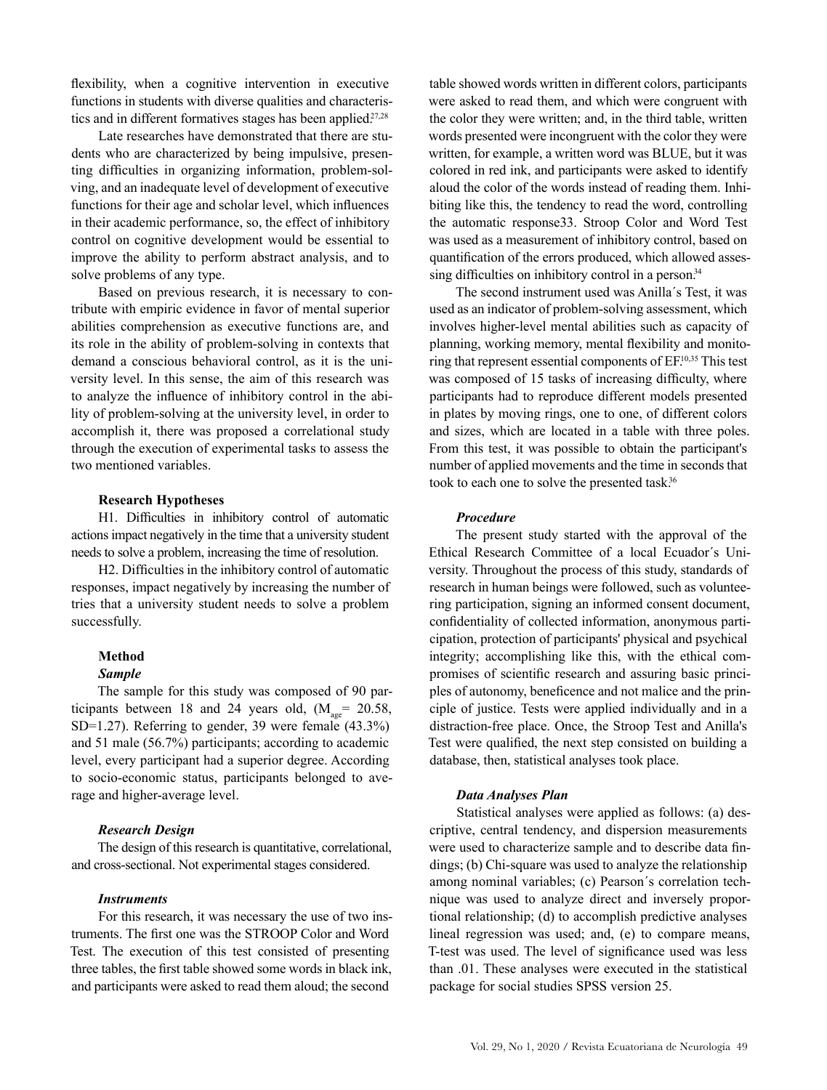flexibility, when a cognitive intervention in executive functions in students with diverse qualities and characteristics and in different formatives stages has been applied.<sup>27,28</sup>

Late researches have demonstrated that there are students who are characterized by being impulsive, presenting difficulties in organizing information, problem-solving, and an inadequate level of development of executive functions for their age and scholar level, which influences in their academic performance, so, the effect of inhibitory control on cognitive development would be essential to improve the ability to perform abstract analysis, and to solve problems of any type.

Based on previous research, it is necessary to contribute with empiric evidence in favor of mental superior abilities comprehension as executive functions are, and its role in the ability of problem-solving in contexts that demand a conscious behavioral control, as it is the university level. In this sense, the aim of this research was to analyze the influence of inhibitory control in the ability of problem-solving at the university level, in order to accomplish it, there was proposed a correlational study through the execution of experimental tasks to assess the two mentioned variables.

# **Research Hypotheses**

H1. Difficulties in inhibitory control of automatic actions impact negatively in the time that a university student needs to solve a problem, increasing the time of resolution.

H2. Difficulties in the inhibitory control of automatic responses, impact negatively by increasing the number of tries that a university student needs to solve a problem successfully.

# **Method**

### *Sample*

The sample for this study was composed of 90 participants between 18 and 24 years old,  $(M_{\text{gas}} = 20.58,$ SD=1.27). Referring to gender, 39 were female (43.3%) and 51 male (56.7%) participants; according to academic level, every participant had a superior degree. According to socio-economic status, participants belonged to average and higher-average level.

#### *Research Design*

The design of this research is quantitative, correlational, and cross-sectional. Not experimental stages considered.

## *Instruments*

For this research, it was necessary the use of two instruments. The first one was the STROOP Color and Word Test. The execution of this test consisted of presenting three tables, the first table showed some words in black ink, and participants were asked to read them aloud; the second

table showed words written in different colors, participants were asked to read them, and which were congruent with the color they were written; and, in the third table, written words presented were incongruent with the color they were written, for example, a written word was BLUE, but it was colored in red ink, and participants were asked to identify aloud the color of the words instead of reading them. Inhibiting like this, the tendency to read the word, controlling the automatic response33. Stroop Color and Word Test was used as a measurement of inhibitory control, based on quantification of the errors produced, which allowed assessing difficulties on inhibitory control in a person.<sup>34</sup>

The second instrument used was Anilla´s Test, it was used as an indicator of problem-solving assessment, which involves higher-level mental abilities such as capacity of planning, working memory, mental flexibility and monitoring that represent essential components of EF.10,35 This test was composed of 15 tasks of increasing difficulty, where participants had to reproduce different models presented in plates by moving rings, one to one, of different colors and sizes, which are located in a table with three poles. From this test, it was possible to obtain the participant's number of applied movements and the time in seconds that took to each one to solve the presented task.<sup>36</sup>

#### *Procedure*

The present study started with the approval of the Ethical Research Committee of a local Ecuador´s University. Throughout the process of this study, standards of research in human beings were followed, such as volunteering participation, signing an informed consent document, confidentiality of collected information, anonymous participation, protection of participants' physical and psychical integrity; accomplishing like this, with the ethical compromises of scientific research and assuring basic principles of autonomy, beneficence and not malice and the principle of justice. Tests were applied individually and in a distraction-free place. Once, the Stroop Test and Anilla's Test were qualified, the next step consisted on building a database, then, statistical analyses took place.

#### *Data Analyses Plan*

Statistical analyses were applied as follows: (a) descriptive, central tendency, and dispersion measurements were used to characterize sample and to describe data findings; (b) Chi-square was used to analyze the relationship among nominal variables; (c) Pearson´s correlation technique was used to analyze direct and inversely proportional relationship; (d) to accomplish predictive analyses lineal regression was used; and, (e) to compare means, T-test was used. The level of significance used was less than .01. These analyses were executed in the statistical package for social studies SPSS version 25.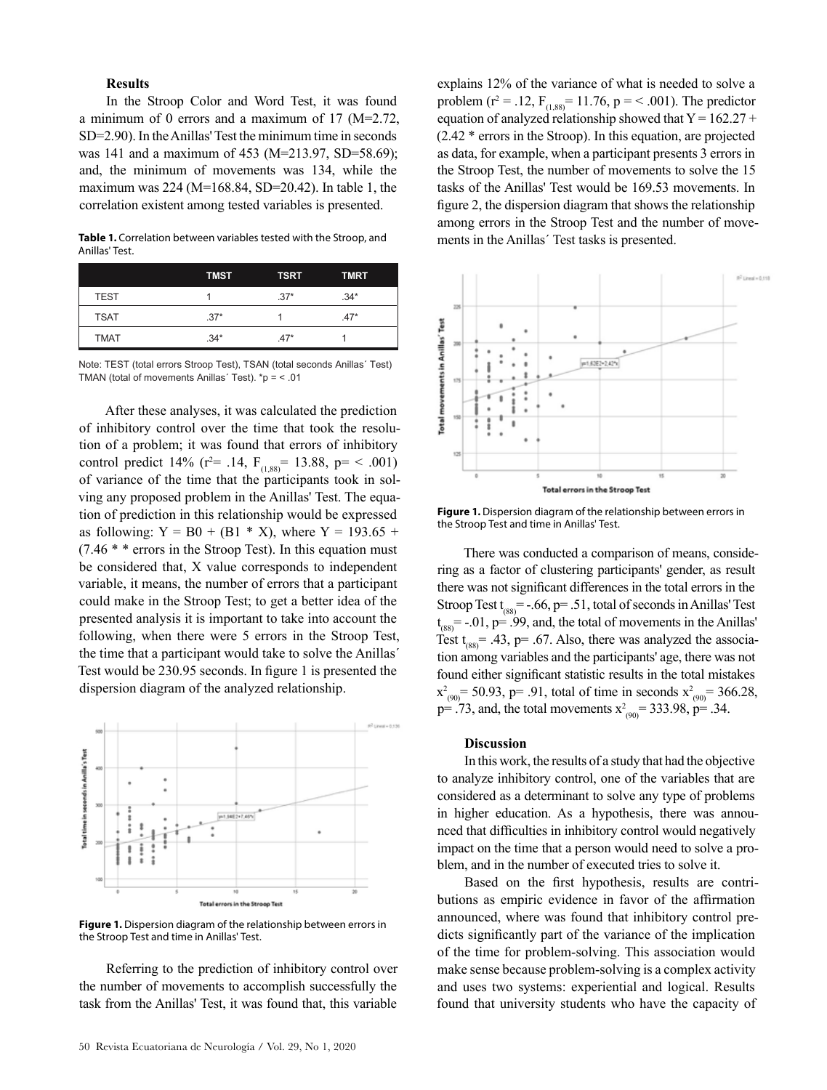# **Results**

In the Stroop Color and Word Test, it was found a minimum of 0 errors and a maximum of 17 (M=2.72, SD=2.90). In the Anillas' Test the minimum time in seconds was 141 and a maximum of 453 (M=213.97, SD=58.69); and, the minimum of movements was 134, while the maximum was 224 (M=168.84, SD=20.42). In table 1, the correlation existent among tested variables is presented.

**Table 1.** Correlation between variables tested with the Stroop, and Anillas' Test.

|             | <b>TMST</b> | <b>TSRT</b> | <b>TMRT</b> |  |
|-------------|-------------|-------------|-------------|--|
| TEST        |             | $.37*$      | $.34*$      |  |
| <b>TSAT</b> | $.37*$      |             | $.47*$      |  |
| <b>TMAT</b> | $.34*$      | $.47*$      |             |  |

Note: TEST (total errors Stroop Test), TSAN (total seconds Anillas´ Test) TMAN (total of movements Anillas´ Test). \*p = < .01

After these analyses, it was calculated the prediction of inhibitory control over the time that took the resolution of a problem; it was found that errors of inhibitory control predict 14% ( $r^2$  = .14,  $F_{(1,88)}$  = 13.88,  $p$  = < .001) of variance of the time that the participants took in solving any proposed problem in the Anillas' Test. The equation of prediction in this relationship would be expressed as following:  $Y = B0 + (B1 * X)$ , where  $Y = 193.65 +$  $(7.46 * * errors in the Stroop Test)$ . In this equation must be considered that, X value corresponds to independent variable, it means, the number of errors that a participant could make in the Stroop Test; to get a better idea of the presented analysis it is important to take into account the following, when there were 5 errors in the Stroop Test, the time that a participant would take to solve the Anillas´ Test would be 230.95 seconds. In figure 1 is presented the dispersion diagram of the analyzed relationship.



**Figure 1.** Dispersion diagram of the relationship between errors in the Stroop Test and time in Anillas' Test.

Referring to the prediction of inhibitory control over the number of movements to accomplish successfully the task from the Anillas' Test, it was found that, this variable

explains 12% of the variance of what is needed to solve a problem ( $r^2 = .12$ ,  $F_{(1,88)} = 11.76$ ,  $p = < .001$ ). The predictor equation of analyzed relationship showed that  $Y = 162.27 +$ (2.42 \* errors in the Stroop). In this equation, are projected as data, for example, when a participant presents 3 errors in the Stroop Test, the number of movements to solve the 15 tasks of the Anillas' Test would be 169.53 movements. In figure 2, the dispersion diagram that shows the relationship among errors in the Stroop Test and the number of movements in the Anillas´ Test tasks is presented.



**Figure 1.** Dispersion diagram of the relationship between errors in the Stroop Test and time in Anillas' Test.

There was conducted a comparison of means, considering as a factor of clustering participants' gender, as result there was not significant differences in the total errors in the Stroop Test  $t_{(88)} = -.66$ , p= .51, total of seconds in Anillas' Test  $t<sub>(88)</sub>$  = -.01, p= .99, and, the total of movements in the Anillas' Test  $t_{(88)}$  = .43, p = .67. Also, there was analyzed the association among variables and the participants' age, there was not found either significant statistic results in the total mistakes  $x^2_{(90)}$  = 50.93, p= .91, total of time in seconds  $x^2_{(90)}$  = 366.28,  $p=$  .73, and, the total movements  $x^2_{(90)}$  = 333.98,  $p=$  .34.

#### **Discussion**

In this work, the results of a study that had the objective to analyze inhibitory control, one of the variables that are considered as a determinant to solve any type of problems in higher education. As a hypothesis, there was announced that difficulties in inhibitory control would negatively impact on the time that a person would need to solve a problem, and in the number of executed tries to solve it.

Based on the first hypothesis, results are contributions as empiric evidence in favor of the affirmation announced, where was found that inhibitory control predicts significantly part of the variance of the implication of the time for problem-solving. This association would make sense because problem-solving is a complex activity and uses two systems: experiential and logical. Results found that university students who have the capacity of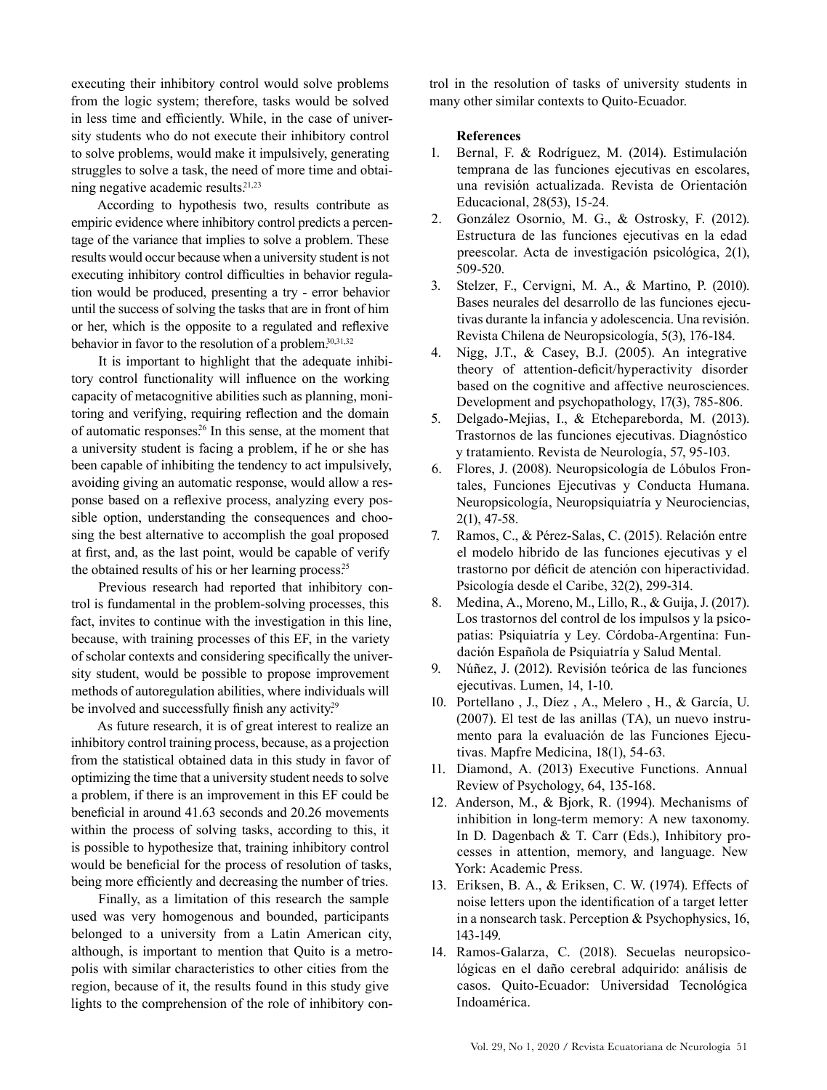executing their inhibitory control would solve problems from the logic system; therefore, tasks would be solved in less time and efficiently. While, in the case of university students who do not execute their inhibitory control to solve problems, would make it impulsively, generating struggles to solve a task, the need of more time and obtaining negative academic results.<sup>21,23</sup>

According to hypothesis two, results contribute as empiric evidence where inhibitory control predicts a percentage of the variance that implies to solve a problem. These results would occur because when a university student is not executing inhibitory control difficulties in behavior regulation would be produced, presenting a try - error behavior until the success of solving the tasks that are in front of him or her, which is the opposite to a regulated and reflexive behavior in favor to the resolution of a problem.<sup>30,31,32</sup>

It is important to highlight that the adequate inhibitory control functionality will influence on the working capacity of metacognitive abilities such as planning, monitoring and verifying, requiring reflection and the domain of automatic responses.26 In this sense, at the moment that a university student is facing a problem, if he or she has been capable of inhibiting the tendency to act impulsively, avoiding giving an automatic response, would allow a response based on a reflexive process, analyzing every possible option, understanding the consequences and choosing the best alternative to accomplish the goal proposed at first, and, as the last point, would be capable of verify the obtained results of his or her learning process.<sup>25</sup>

Previous research had reported that inhibitory control is fundamental in the problem-solving processes, this fact, invites to continue with the investigation in this line, because, with training processes of this EF, in the variety of scholar contexts and considering specifically the university student, would be possible to propose improvement methods of autoregulation abilities, where individuals will be involved and successfully finish any activity.<sup>29</sup>

As future research, it is of great interest to realize an inhibitory control training process, because, as a projection from the statistical obtained data in this study in favor of optimizing the time that a university student needs to solve a problem, if there is an improvement in this EF could be beneficial in around 41.63 seconds and 20.26 movements within the process of solving tasks, according to this, it is possible to hypothesize that, training inhibitory control would be beneficial for the process of resolution of tasks, being more efficiently and decreasing the number of tries.

Finally, as a limitation of this research the sample used was very homogenous and bounded, participants belonged to a university from a Latin American city, although, is important to mention that Quito is a metropolis with similar characteristics to other cities from the region, because of it, the results found in this study give lights to the comprehension of the role of inhibitory control in the resolution of tasks of university students in many other similar contexts to Quito-Ecuador.

# **References**

- 1. Bernal, F. & Rodríguez, M. (2014). Estimulación temprana de las funciones ejecutivas en escolares, una revisión actualizada. Revista de Orientación Educacional, 28(53), 15-24.
- 2. González Osornio, M. G., & Ostrosky, F. (2012). Estructura de las funciones ejecutivas en la edad preescolar. Acta de investigación psicológica, 2(1), 509-520.
- 3. Stelzer, F., Cervigni, M. A., & Martino, P. (2010). Bases neurales del desarrollo de las funciones ejecutivas durante la infancia y adolescencia. Una revisión. Revista Chilena de Neuropsicología, 5(3), 176-184.
- 4. Nigg, J.T., & Casey, B.J. (2005). An integrative theory of attention-deficit/hyperactivity disorder based on the cognitive and affective neurosciences. Development and psychopathology, 17(3), 785-806.
- 5. Delgado-Mejias, I., & Etchepareborda, M. (2013). Trastornos de las funciones ejecutivas. Diagnóstico y tratamiento. Revista de Neurología, 57, 95-103.
- 6. Flores, J. (2008). Neuropsicología de Lóbulos Frontales, Funciones Ejecutivas y Conducta Humana. Neuropsicología, Neuropsiquiatría y Neurociencias, 2(1), 47-58.
- 7. Ramos, C., & Pérez-Salas, C. (2015). Relación entre el modelo hibrido de las funciones ejecutivas y el trastorno por déficit de atención con hiperactividad. Psicología desde el Caribe, 32(2), 299-314.
- 8. Medina, A., Moreno, M., Lillo, R., & Guija, J. (2017). Los trastornos del control de los impulsos y la psicopatias: Psiquiatría y Ley. Córdoba-Argentina: Fundación Española de Psiquiatría y Salud Mental.
- 9. Núñez, J. (2012). Revisión teórica de las funciones ejecutivas. Lumen, 14, 1-10.
- 10. Portellano , J., Díez , A., Melero , H., & García, U. (2007). El test de las anillas (TA), un nuevo instrumento para la evaluación de las Funciones Ejecutivas. Mapfre Medicina, 18(1), 54-63.
- 11. Diamond, A. (2013) Executive Functions. Annual Review of Psychology, 64, 135-168.
- 12. Anderson, M., & Bjork, R. (1994). Mechanisms of inhibition in long-term memory: A new taxonomy. In D. Dagenbach & T. Carr (Eds.), Inhibitory processes in attention, memory, and language. New York: Academic Press.
- 13. Eriksen, B. A., & Eriksen, C. W. (1974). Effects of noise letters upon the identification of a target letter in a nonsearch task. Perception & Psychophysics, 16, 143-149.
- 14. Ramos-Galarza, C. (2018). Secuelas neuropsicológicas en el daño cerebral adquirido: análisis de casos. Quito-Ecuador: Universidad Tecnológica Indoamérica.